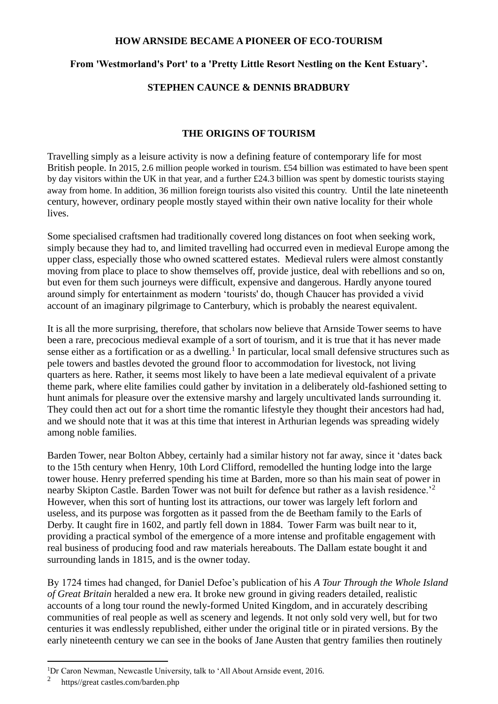### **HOW ARNSIDE BECAME A PIONEER OF ECO-TOURISM**

# **From 'Westmorland's Port' to a 'Pretty Little Resort Nestling on the Kent Estuary'.**

## **STEPHEN CAUNCE & DENNIS BRADBURY**

### **THE ORIGINS OF TOURISM**

Travelling simply as a leisure activity is now a defining feature of contemporary life for most British people. In 2015, 2.6 million people worked in tourism. £54 billion was estimated to have been spent by day visitors within the UK in that year, and a further £24.3 billion was spent by domestic tourists staying away from home. In addition, 36 million foreign tourists also visited this country. Until the late nineteenth century, however, ordinary people mostly stayed within their own native locality for their whole lives.

Some specialised craftsmen had traditionally covered long distances on foot when seeking work, simply because they had to, and limited travelling had occurred even in medieval Europe among the upper class, especially those who owned scattered estates. Medieval rulers were almost constantly moving from place to place to show themselves off, provide justice, deal with rebellions and so on, but even for them such journeys were difficult, expensive and dangerous. Hardly anyone toured around simply for entertainment as modern 'tourists' do, though Chaucer has provided a vivid account of an imaginary pilgrimage to Canterbury, which is probably the nearest equivalent.

It is all the more surprising, therefore, that scholars now believe that Arnside Tower seems to have been a rare, precocious medieval example of a sort of tourism, and it is true that it has never made sense either as a fortification or as a dwelling.<sup>1</sup> In particular, local small defensive structures such as pele towers and bastles devoted the ground floor to accommodation for livestock, not living quarters as here. Rather, it seems most likely to have been a late medieval equivalent of a private theme park, where elite families could gather by invitation in a deliberately old-fashioned setting to hunt animals for pleasure over the extensive marshy and largely uncultivated lands surrounding it. They could then act out for a short time the romantic lifestyle they thought their ancestors had had, and we should note that it was at this time that interest in Arthurian legends was spreading widely among noble families.

Barden Tower, near Bolton Abbey, certainly had a similar history not far away, since it 'dates back to the 15th century when Henry, 10th Lord Clifford, remodelled the hunting lodge into the large tower house. Henry preferred spending his time at Barden, more so than his main seat of power in nearby Skipton Castle. Barden Tower was not built for defence but rather as a lavish residence.'<sup>2</sup> However, when this sort of hunting lost its attractions, our tower was largely left forlorn and useless, and its purpose was forgotten as it passed from the de Beetham family to the Earls of Derby. It caught fire in 1602, and partly fell down in 1884. Tower Farm was built near to it, providing a practical symbol of the emergence of a more intense and profitable engagement with real business of producing food and raw materials hereabouts. The Dallam estate bought it and surrounding lands in 1815, and is the owner today.

By 1724 times had changed, for Daniel Defoe's publication of his *A Tour Through the Whole Island of Great Britain* heralded a new era. It broke new ground in giving readers detailed, realistic accounts of a long tour round the newly-formed United Kingdom, and in accurately describing communities of real people as well as scenery and legends. It not only sold very well, but for two centuries it was endlessly republished, either under the original title or in pirated versions. By the early nineteenth century we can see in the books of Jane Austen that gentry families then routinely

<sup>&</sup>lt;sup>1</sup>Dr Caron Newman, Newcastle University, talk to 'All About Arnside event, 2016.

<sup>2</sup> https//great castles.com/barden.php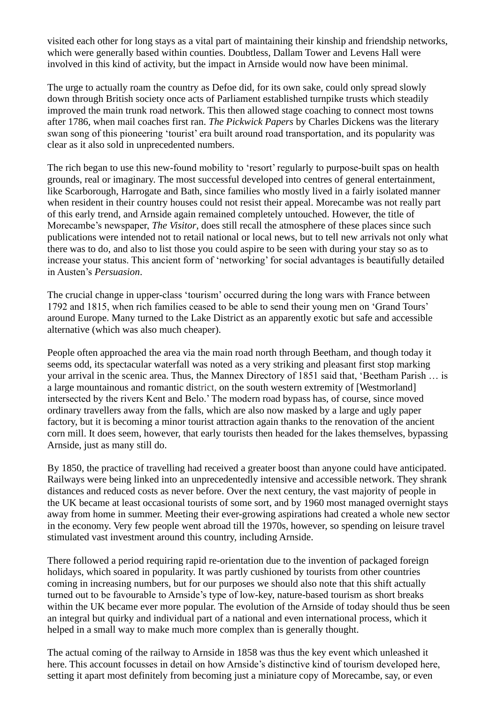visited each other for long stays as a vital part of maintaining their kinship and friendship networks, which were generally based within counties. Doubtless, Dallam Tower and Levens Hall were involved in this kind of activity, but the impact in Arnside would now have been minimal.

The urge to actually roam the country as Defoe did, for its own sake, could only spread slowly down through British society once acts of Parliament established turnpike trusts which steadily improved the main trunk road network. This then allowed stage coaching to connect most towns after 1786, when mail coaches first ran. *The Pickwick Papers* by Charles Dickens was the literary swan song of this pioneering 'tourist' era built around road transportation, and its popularity was clear as it also sold in unprecedented numbers.

The rich began to use this new-found mobility to 'resort' regularly to purpose-built spas on health grounds, real or imaginary. The most successful developed into centres of general entertainment, like Scarborough, Harrogate and Bath, since families who mostly lived in a fairly isolated manner when resident in their country houses could not resist their appeal. Morecambe was not really part of this early trend, and Arnside again remained completely untouched. However, the title of Morecambe's newspaper, *The Visitor*, does still recall the atmosphere of these places since such publications were intended not to retail national or local news, but to tell new arrivals not only what there was to do, and also to list those you could aspire to be seen with during your stay so as to increase your status. This ancient form of 'networking' for social advantages is beautifully detailed in Austen's *Persuasion*.

The crucial change in upper-class 'tourism' occurred during the long wars with France between 1792 and 1815, when rich families ceased to be able to send their young men on 'Grand Tours' around Europe. Many turned to the Lake District as an apparently exotic but safe and accessible alternative (which was also much cheaper).

People often approached the area via the main road north through Beetham, and though today it seems odd, its spectacular waterfall was noted as a very striking and pleasant first stop marking your arrival in the scenic area. Thus, the Mannex Directory of 1851 said that, 'Beetham Parish … is a large mountainous and romantic district, on the south western extremity of [Westmorland] intersected by the rivers Kent and Belo.' The modern road bypass has, of course, since moved ordinary travellers away from the falls, which are also now masked by a large and ugly paper factory, but it is becoming a minor tourist attraction again thanks to the renovation of the ancient corn mill. It does seem, however, that early tourists then headed for the lakes themselves, bypassing Arnside, just as many still do.

By 1850, the practice of travelling had received a greater boost than anyone could have anticipated. Railways were being linked into an unprecedentedly intensive and accessible network. They shrank distances and reduced costs as never before. Over the next century, the vast majority of people in the UK became at least occasional tourists of some sort, and by 1960 most managed overnight stays away from home in summer. Meeting their ever-growing aspirations had created a whole new sector in the economy. Very few people went abroad till the 1970s, however, so spending on leisure travel stimulated vast investment around this country, including Arnside.

There followed a period requiring rapid re-orientation due to the invention of packaged foreign holidays, which soared in popularity. It was partly cushioned by tourists from other countries coming in increasing numbers, but for our purposes we should also note that this shift actually turned out to be favourable to Arnside's type of low-key, nature-based tourism as short breaks within the UK became ever more popular. The evolution of the Arnside of today should thus be seen an integral but quirky and individual part of a national and even international process, which it helped in a small way to make much more complex than is generally thought.

The actual coming of the railway to Arnside in 1858 was thus the key event which unleashed it here. This account focusses in detail on how Arnside's distinctive kind of tourism developed here, setting it apart most definitely from becoming just a miniature copy of Morecambe, say, or even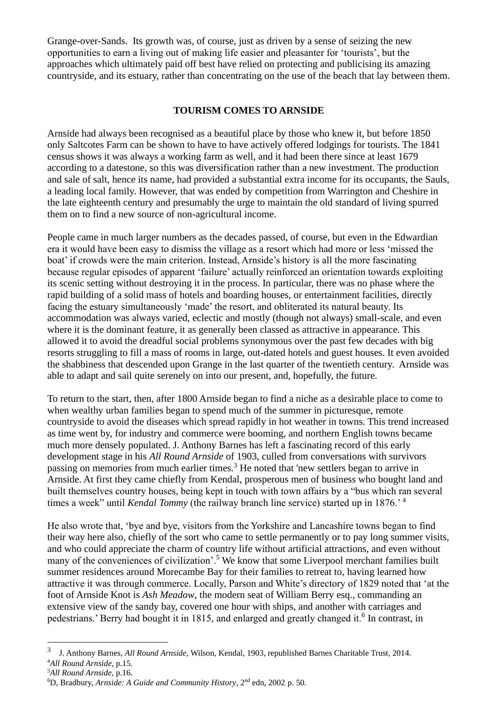Grange-over-Sands. Its growth was, of course, just as driven by a sense of seizing the new opportunities to earn a living out of making life easier and pleasanter for 'tourists', but the approaches which ultimately paid off best have relied on protecting and publicising its amazing countryside, and its estuary, rather than concentrating on the use of the beach that lay between them.

# **TOURISM COMES TO ARNSIDE**

Arnside had always been recognised as a beautiful place by those who knew it, but before 1850 only Saltcotes Farm can be shown to have to have actively offered lodgings for tourists. The 1841 census shows it was always a working farm as well, and it had been there since at least 1679 according to a datestone, so this was diversification rather than a new investment. The production and sale of salt, hence its name, had provided a substantial extra income for its occupants, the Sauls, a leading local family. However, that was ended by competition from Warrington and Cheshire in the late eighteenth century and presumably the urge to maintain the old standard of living spurred them on to find a new source of non-agricultural income.

People came in much larger numbers as the decades passed, of course, but even in the Edwardian era it would have been easy to dismiss the village as a resort which had more or less 'missed the boat' if crowds were the main criterion. Instead, Arnside's history is all the more fascinating because regular episodes of apparent 'failure' actually reinforced an orientation towards exploiting its scenic setting without destroying it in the process. In particular, there was no phase where the rapid building of a solid mass of hotels and boarding houses, or entertainment facilities, directly facing the estuary simultaneously 'made' the resort, and obliterated its natural beauty. Its accommodation was always varied, eclectic and mostly (though not always) small-scale, and even where it is the dominant feature, it as generally been classed as attractive in appearance. This allowed it to avoid the dreadful social problems synonymous over the past few decades with big resorts struggling to fill a mass of rooms in large, out-dated hotels and guest houses. It even avoided the shabbiness that descended upon Grange in the last quarter of the twentieth century. Arnside was able to adapt and sail quite serenely on into our present, and, hopefully, the future.

To return to the start, then, after 1800 Arnside began to find a niche as a desirable place to come to when wealthy urban families began to spend much of the summer in picturesque, remote countryside to avoid the diseases which spread rapidly in hot weather in towns. This trend increased as time went by, for industry and commerce were booming, and northern English towns became much more densely populated. J. Anthony Barnes has left a fascinating record of this early development stage in his *All Round Arnside* of 1903, culled from conversations with survivors passing on memories from much earlier times.<sup>3</sup> He noted that 'new settlers began to arrive in Arnside. At first they came chiefly from Kendal, prosperous men of business who bought land and built themselves country houses, being kept in touch with town affairs by a "bus which ran several times a week" until *Kendal Tommy* (the railway branch line service) started up in 1876.'<sup>4</sup>

He also wrote that, 'bye and bye, visitors from the Yorkshire and Lancashire towns began to find their way here also, chiefly of the sort who came to settle permanently or to pay long summer visits, and who could appreciate the charm of country life without artificial attractions, and even without many of the conveniences of civilization'.<sup>5</sup> We know that some Liverpool merchant families built summer residences around Morecambe Bay for their families to retreat to, having learned how attractive it was through commerce. Locally, Parson and White's directory of 1829 noted that 'at the foot of Arnside Knot is *Ash Meadow*, the modern seat of William Berry esq., commanding an extensive view of the sandy bay, covered one hour with ships, and another with carriages and pedestrians.' Berry had bought it in 1815, and enlarged and greatly changed it.<sup>6</sup> In contrast, in

<sup>3</sup> J. Anthony Barnes, *All Round Arnside,* Wilson, Kendal, 1903, republished Barnes Charitable Trust, 2014. <sup>4</sup>*All Round Arnside,* p.15.

<sup>5</sup>*All Round Arnside,* p.16.

<sup>6</sup>D, Bradbury, *Arnside: A Guide and Community History*, 2nd edn, 2002 p. 50.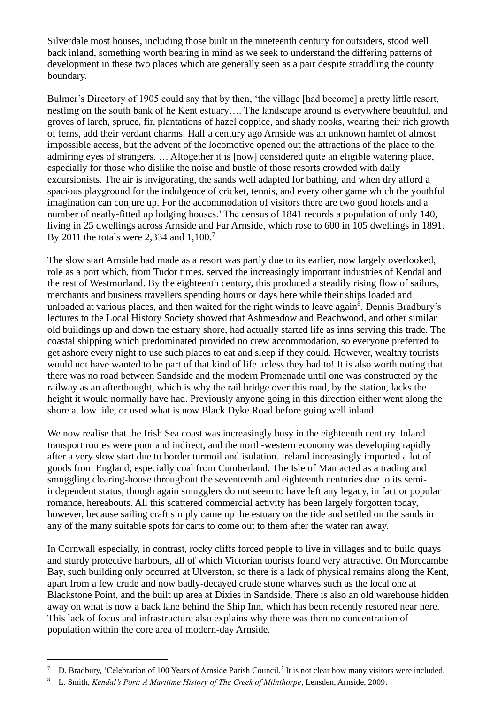Silverdale most houses, including those built in the nineteenth century for outsiders, stood well back inland, something worth bearing in mind as we seek to understand the differing patterns of development in these two places which are generally seen as a pair despite straddling the county boundary.

Bulmer's Directory of 1905 could say that by then, 'the village [had become] a pretty little resort, nestling on the south bank of he Kent estuary…. The landscape around is everywhere beautiful, and groves of larch, spruce, fir, plantations of hazel coppice, and shady nooks, wearing their rich growth of ferns, add their verdant charms. Half a century ago Arnside was an unknown hamlet of almost impossible access, but the advent of the locomotive opened out the attractions of the place to the admiring eyes of strangers. … Altogether it is [now] considered quite an eligible watering place, especially for those who dislike the noise and bustle of those resorts crowded with daily excursionists. The air is invigorating, the sands well adapted for bathing, and when dry afford a spacious playground for the indulgence of cricket, tennis, and every other game which the youthful imagination can conjure up. For the accommodation of visitors there are two good hotels and a number of neatly-fitted up lodging houses.' The census of 1841 records a population of only 140, living in 25 dwellings across Arnside and Far Arnside, which rose to 600 in 105 dwellings in 1891. By 2011 the totals were 2,334 and  $1,100$ .<sup>7</sup>

The slow start Arnside had made as a resort was partly due to its earlier, now largely overlooked, role as a port which, from Tudor times, served the increasingly important industries of Kendal and the rest of Westmorland. By the eighteenth century, this produced a steadily rising flow of sailors, merchants and business travellers spending hours or days here while their ships loaded and unloaded at various places, and then waited for the right winds to leave again<sup>8</sup>. Dennis Bradbury's lectures to the Local History Society showed that Ashmeadow and Beachwood, and other similar old buildings up and down the estuary shore, had actually started life as inns serving this trade. The coastal shipping which predominated provided no crew accommodation, so everyone preferred to get ashore every night to use such places to eat and sleep if they could. However, wealthy tourists would not have wanted to be part of that kind of life unless they had to! It is also worth noting that there was no road between Sandside and the modern Promenade until one was constructed by the railway as an afterthought, which is why the rail bridge over this road, by the station, lacks the height it would normally have had. Previously anyone going in this direction either went along the shore at low tide, or used what is now Black Dyke Road before going well inland.

We now realise that the Irish Sea coast was increasingly busy in the eighteenth century. Inland transport routes were poor and indirect, and the north-western economy was developing rapidly after a very slow start due to border turmoil and isolation. Ireland increasingly imported a lot of goods from England, especially coal from Cumberland. The Isle of Man acted as a trading and smuggling clearing-house throughout the seventeenth and eighteenth centuries due to its semiindependent status, though again smugglers do not seem to have left any legacy, in fact or popular romance, hereabouts. All this scattered commercial activity has been largely forgotten today, however, because sailing craft simply came up the estuary on the tide and settled on the sands in any of the many suitable spots for carts to come out to them after the water ran away.

In Cornwall especially, in contrast, rocky cliffs forced people to live in villages and to build quays and sturdy protective harbours, all of which Victorian tourists found very attractive. On Morecambe Bay, such building only occurred at Ulverston, so there is a lack of physical remains along the Kent, apart from a few crude and now badly-decayed crude stone wharves such as the local one at Blackstone Point, and the built up area at Dixies in Sandside. There is also an old warehouse hidden away on what is now a back lane behind the Ship Inn, which has been recently restored near here. This lack of focus and infrastructure also explains why there was then no concentration of population within the core area of modern-day Arnside.

<sup>&</sup>lt;sup>7</sup> D. Bradbury, 'Celebration of 100 Years of Arnside Parish Council.' It is not clear how many visitors were included.

<sup>8</sup> L. Smith, *Kendal's Port: A Maritime History of The Creek of Milnthorpe*, Lensden, Arnside, 2009.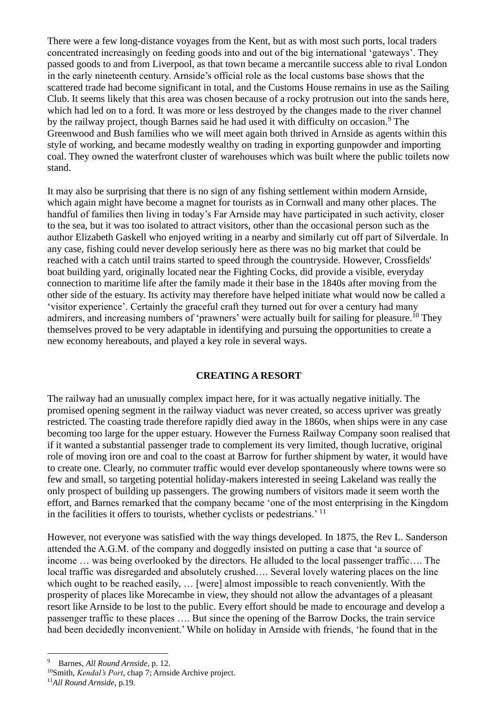There were a few long-distance voyages from the Kent, but as with most such ports, local traders concentrated increasingly on feeding goods into and out of the big international 'gateways'. They passed goods to and from Liverpool, as that town became a mercantile success able to rival London in the early nineteenth century. Arnside's official role as the local customs base shows that the scattered trade had become significant in total, and the Customs House remains in use as the Sailing Club. It seems likely that this area was chosen because of a rocky protrusion out into the sands here, which had led on to a ford. It was more or less destroyed by the changes made to the river channel by the railway project, though Barnes said he had used it with difficulty on occasion.<sup>9</sup> The Greenwood and Bush families who we will meet again both thrived in Arnside as agents within this style of working, and became modestly wealthy on trading in exporting gunpowder and importing coal. They owned the waterfront cluster of warehouses which was built where the public toilets now stand.

It may also be surprising that there is no sign of any fishing settlement within modern Arnside, which again might have become a magnet for tourists as in Cornwall and many other places. The handful of families then living in today's Far Arnside may have participated in such activity, closer to the sea, but it was too isolated to attract visitors, other than the occasional person such as the author Elizabeth Gaskell who enjoyed writing in a nearby and similarly cut off part of Silverdale. In any case, fishing could never develop seriously here as there was no big market that could be reached with a catch until trains started to speed through the countryside. However, Crossfields' boat building yard, originally located near the Fighting Cocks, did provide a visible, everyday connection to maritime life after the family made it their base in the 1840s after moving from the other side of the estuary. Its activity may therefore have helped initiate what would now be called a 'visitor experience'. Certainly the graceful craft they turned out for over a century had many admirers, and increasing numbers of 'prawners' were actually built for sailing for pleasure.<sup>10</sup> They themselves proved to be very adaptable in identifying and pursuing the opportunities to create a new economy hereabouts, and played a key role in several ways.

# **CREATING A RESORT**

The railway had an unusually complex impact here, for it was actually negative initially. The promised opening segment in the railway viaduct was never created, so access upriver was greatly restricted. The coasting trade therefore rapidly died away in the 1860s, when ships were in any case becoming too large for the upper estuary. However the Furness Railway Company soon realised that if it wanted a substantial passenger trade to complement its very limited, though lucrative, original role of moving iron ore and coal to the coast at Barrow for further shipment by water, it would have to create one. Clearly, no commuter traffic would ever develop spontaneously where towns were so few and small, so targeting potential holiday-makers interested in seeing Lakeland was really the only prospect of building up passengers. The growing numbers of visitors made it seem worth the effort, and Barnes remarked that the company became 'one of the most enterprising in the Kingdom in the facilities it offers to tourists, whether cyclists or pedestrians.' <sup>11</sup>

However, not everyone was satisfied with the way things developed. In 1875, the Rev L. Sanderson attended the A.G.M. of the company and doggedly insisted on putting a case that 'a source of income … was being overlooked by the directors. He alluded to the local passenger traffic…. The local traffic was disregarded and absolutely crushed…. Several lovely watering places on the line which ought to be reached easily, ... [were] almost impossible to reach conveniently. With the prosperity of places like Morecambe in view, they should not allow the advantages of a pleasant resort like Arnside to be lost to the public. Every effort should be made to encourage and develop a passenger traffic to these places …. But since the opening of the Barrow Docks, the train service had been decidedly inconvenient.' While on holiday in Arnside with friends, 'he found that in the

<sup>9</sup> Barnes, *All Round Arnside*, p. 12.

<sup>10</sup>Smith, *Kendal's Port*, chap 7; Arnside Archive project.

<sup>11</sup>*All Round Arnside*, p.19*.*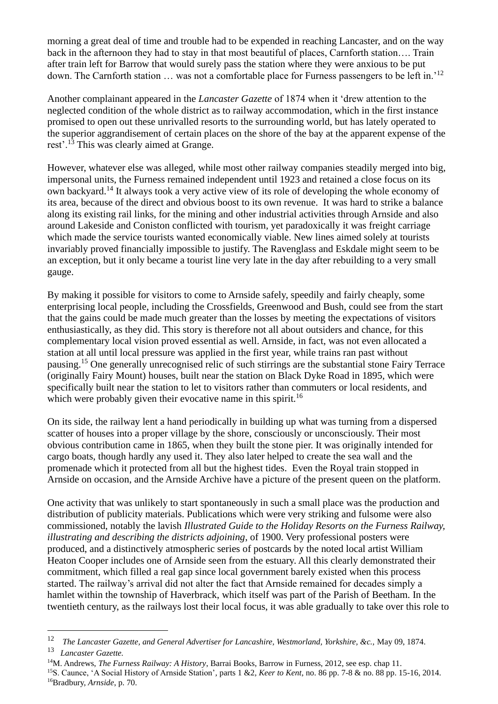morning a great deal of time and trouble had to be expended in reaching Lancaster, and on the way back in the afternoon they had to stay in that most beautiful of places, Carnforth station…. Train after train left for Barrow that would surely pass the station where they were anxious to be put down. The Carnforth station … was not a comfortable place for Furness passengers to be left in.'<sup>12</sup>

Another complainant appeared in the *Lancaster Gazette* of 1874 when it 'drew attention to the neglected condition of the whole district as to railway accommodation, which in the first instance promised to open out these unrivalled resorts to the surrounding world, but has lately operated to the superior aggrandisement of certain places on the shore of the bay at the apparent expense of the rest'.<sup>13</sup> This was clearly aimed at Grange.

However, whatever else was alleged, while most other railway companies steadily merged into big, impersonal units, the Furness remained independent until 1923 and retained a close focus on its own backyard.<sup>14</sup> It always took a very active view of its role of developing the whole economy of its area, because of the direct and obvious boost to its own revenue. It was hard to strike a balance along its existing rail links, for the mining and other industrial activities through Arnside and also around Lakeside and Coniston conflicted with tourism, yet paradoxically it was freight carriage which made the service tourists wanted economically viable. New lines aimed solely at tourists invariably proved financially impossible to justify. The Ravenglass and Eskdale might seem to be an exception, but it only became a tourist line very late in the day after rebuilding to a very small gauge.

By making it possible for visitors to come to Arnside safely, speedily and fairly cheaply, some enterprising local people, including the Crossfields, Greenwood and Bush, could see from the start that the gains could be made much greater than the losses by meeting the expectations of visitors enthusiastically, as they did. This story is therefore not all about outsiders and chance, for this complementary local vision proved essential as well. Arnside, in fact, was not even allocated a station at all until local pressure was applied in the first year, while trains ran past without pausing.<sup>15</sup> One generally unrecognised relic of such stirrings are the substantial stone Fairy Terrace (originally Fairy Mount) houses, built near the station on Black Dyke Road in 1895, which were specifically built near the station to let to visitors rather than commuters or local residents, and which were probably given their evocative name in this spirit.<sup>16</sup>

On its side, the railway lent a hand periodically in building up what was turning from a dispersed scatter of houses into a proper village by the shore, consciously or unconsciously. Their most obvious contribution came in 1865, when they built the stone pier. It was originally intended for cargo boats, though hardly any used it. They also later helped to create the sea wall and the promenade which it protected from all but the highest tides. Even the Royal train stopped in Arnside on occasion, and the Arnside Archive have a picture of the present queen on the platform.

One activity that was unlikely to start spontaneously in such a small place was the production and distribution of publicity materials. Publications which were very striking and fulsome were also commissioned, notably the lavish *Illustrated Guide to the Holiday Resorts on the Furness Railway, illustrating and describing the districts adjoining*, of 1900. Very professional posters were produced, and a distinctively atmospheric series of postcards by the noted local artist William Heaton Cooper includes one of Arnside seen from the estuary. All this clearly demonstrated their commitment, which filled a real gap since local government barely existed when this process started. The railway's arrival did not alter the fact that Arnside remained for decades simply a hamlet within the township of Haverbrack, which itself was part of the Parish of Beetham. In the twentieth century, as the railways lost their local focus, it was able gradually to take over this role to

<sup>12</sup>  *The Lancaster Gazette, and General Advertiser for Lancashire, Westmorland, Yorkshire, &c.,* May 09, 1874.

<sup>13</sup>  *Lancaster Gazette.*

<sup>14</sup>M. Andrews, *The Furness Railway: A History*, Barrai Books, Barrow in Furness, 2012, see esp. chap 11.

<sup>15</sup>S. Caunce, 'A Social History of Arnside Station'*,* parts 1 &2*, Keer to Kent*, no. 86 pp. 7-8 & no. 88 pp. 15-16, 2014. 16Bradbury, *Arnside*, p. 70.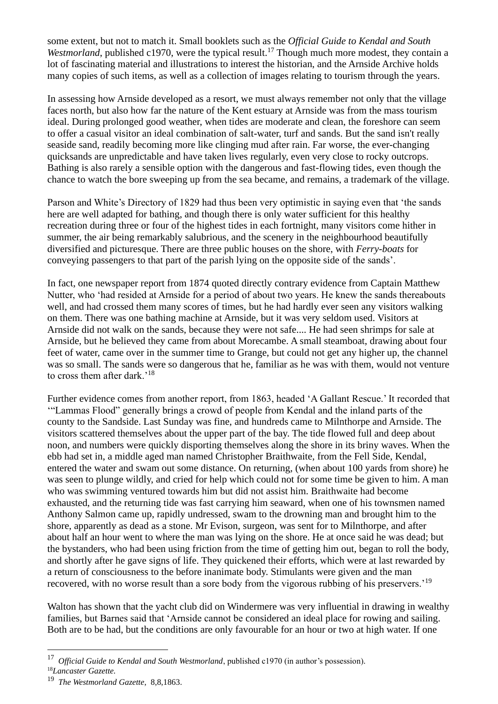some extent, but not to match it. Small booklets such as the *Official Guide to Kendal and South Westmorland*, published c1970, were the typical result.<sup>17</sup> Though much more modest, they contain a lot of fascinating material and illustrations to interest the historian, and the Arnside Archive holds many copies of such items, as well as a collection of images relating to tourism through the years.

In assessing how Arnside developed as a resort, we must always remember not only that the village faces north, but also how far the nature of the Kent estuary at Arnside was from the mass tourism ideal. During prolonged good weather, when tides are moderate and clean, the foreshore can seem to offer a casual visitor an ideal combination of salt-water, turf and sands. But the sand isn't really seaside sand, readily becoming more like clinging mud after rain. Far worse, the ever-changing quicksands are unpredictable and have taken lives regularly, even very close to rocky outcrops. Bathing is also rarely a sensible option with the dangerous and fast-flowing tides, even though the chance to watch the bore sweeping up from the sea became, and remains, a trademark of the village.

Parson and White's Directory of 1829 had thus been very optimistic in saying even that 'the sands here are well adapted for bathing, and though there is only water sufficient for this healthy recreation during three or four of the highest tides in each fortnight, many visitors come hither in summer, the air being remarkably salubrious, and the scenery in the neighbourhood beautifully diversified and picturesque. There are three public houses on the shore, with *Ferry-boats* for conveying passengers to that part of the parish lying on the opposite side of the sands'.

In fact, one newspaper report from 1874 quoted directly contrary evidence from Captain Matthew Nutter, who 'had resided at Arnside for a period of about two years. He knew the sands thereabouts well, and had crossed them many scores of times, but he had hardly ever seen any visitors walking on them. There was one bathing machine at Arnside, but it was very seldom used. Visitors at Arnside did not walk on the sands, because they were not safe.... He had seen shrimps for sale at Arnside, but he believed they came from about Morecambe. A small steamboat, drawing about four feet of water, came over in the summer time to Grange, but could not get any higher up, the channel was so small. The sands were so dangerous that he, familiar as he was with them, would not venture to cross them after dark.'<sup>18</sup>

Further evidence comes from another report, from 1863, headed 'A Gallant Rescue.' It recorded that '"Lammas Flood" generally brings a crowd of people from Kendal and the inland parts of the county to the Sandside. Last Sunday was fine, and hundreds came to Milnthorpe and Arnside. The visitors scattered themselves about the upper part of the bay. The tide flowed full and deep about noon, and numbers were quickly disporting themselves along the shore in its briny waves. When the ebb had set in, a middle aged man named Christopher Braithwaite, from the Fell Side, Kendal, entered the water and swam out some distance. On returning, (when about 100 yards from shore) he was seen to plunge wildly, and cried for help which could not for some time be given to him. A man who was swimming ventured towards him but did not assist him. Braithwaite had become exhausted, and the returning tide was fast carrying him seaward, when one of his townsmen named Anthony Salmon came up, rapidly undressed, swam to the drowning man and brought him to the shore, apparently as dead as a stone. Mr Evison, surgeon, was sent for to Milnthorpe, and after about half an hour went to where the man was lying on the shore. He at once said he was dead; but the bystanders, who had been using friction from the time of getting him out, began to roll the body, and shortly after he gave signs of life. They quickened their efforts, which were at last rewarded by a return of consciousness to the before inanimate body. Stimulants were given and the man recovered, with no worse result than a sore body from the vigorous rubbing of his preservers.'<sup>19</sup>

Walton has shown that the yacht club did on Windermere was very influential in drawing in wealthy families, but Barnes said that 'Arnside cannot be considered an ideal place for rowing and sailing. Both are to be had, but the conditions are only favourable for an hour or two at high water. If one

<sup>&</sup>lt;sup>17</sup> Official Guide to Kendal and South Westmorland, published c1970 (in author's possession).

<sup>18</sup>*Lancaster Gazette.*

<sup>19</sup>  *The Westmorland Gazette*, 8,8,1863.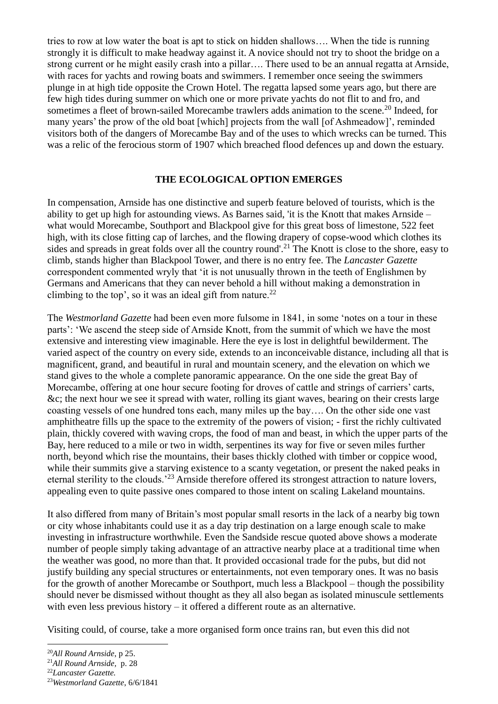tries to row at low water the boat is apt to stick on hidden shallows…. When the tide is running strongly it is difficult to make headway against it. A novice should not try to shoot the bridge on a strong current or he might easily crash into a pillar…. There used to be an annual regatta at Arnside, with races for yachts and rowing boats and swimmers. I remember once seeing the swimmers plunge in at high tide opposite the Crown Hotel. The regatta lapsed some years ago, but there are few high tides during summer on which one or more private yachts do not flit to and fro, and sometimes a fleet of brown-sailed Morecambe trawlers adds animation to the scene.<sup>20</sup> Indeed, for many years' the prow of the old boat [which] projects from the wall [of Ashmeadow]', reminded visitors both of the dangers of Morecambe Bay and of the uses to which wrecks can be turned. This was a relic of the ferocious storm of 1907 which breached flood defences up and down the estuary.

#### **THE ECOLOGICAL OPTION EMERGES**

In compensation, Arnside has one distinctive and superb feature beloved of tourists, which is the ability to get up high for astounding views. As Barnes said, 'it is the Knott that makes Arnside – what would Morecambe, Southport and Blackpool give for this great boss of limestone, 522 feet high, with its close fitting cap of larches, and the flowing drapery of copse-wood which clothes its sides and spreads in great folds over all the country round'.<sup>21</sup> The Knott is close to the shore, easy to climb, stands higher than Blackpool Tower, and there is no entry fee. The *Lancaster Gazette* correspondent commented wryly that 'it is not unusually thrown in the teeth of Englishmen by Germans and Americans that they can never behold a hill without making a demonstration in climbing to the top', so it was an ideal gift from nature.<sup>22</sup>

The *Westmorland Gazette* had been even more fulsome in 1841, in some 'notes on a tour in these parts': 'We ascend the steep side of Arnside Knott, from the summit of which we have the most extensive and interesting view imaginable. Here the eye is lost in delightful bewilderment. The varied aspect of the country on every side, extends to an inconceivable distance, including all that is magnificent, grand, and beautiful in rural and mountain scenery, and the elevation on which we stand gives to the whole a complete panoramic appearance. On the one side the great Bay of Morecambe, offering at one hour secure footing for droves of cattle and strings of carriers' carts, &c; the next hour we see it spread with water, rolling its giant waves, bearing on their crests large coasting vessels of one hundred tons each, many miles up the bay…. On the other side one vast amphitheatre fills up the space to the extremity of the powers of vision; - first the richly cultivated plain, thickly covered with waving crops, the food of man and beast, in which the upper parts of the Bay, here reduced to a mile or two in width, serpentines its way for five or seven miles further north, beyond which rise the mountains, their bases thickly clothed with timber or coppice wood, while their summits give a starving existence to a scanty vegetation, or present the naked peaks in eternal sterility to the clouds.'<sup>23</sup> Arnside therefore offered its strongest attraction to nature lovers, appealing even to quite passive ones compared to those intent on scaling Lakeland mountains.

It also differed from many of Britain's most popular small resorts in the lack of a nearby big town or city whose inhabitants could use it as a day trip destination on a large enough scale to make investing in infrastructure worthwhile. Even the Sandside rescue quoted above shows a moderate number of people simply taking advantage of an attractive nearby place at a traditional time when the weather was good, no more than that. It provided occasional trade for the pubs, but did not justify building any special structures or entertainments, not even temporary ones. It was no basis for the growth of another Morecambe or Southport, much less a Blackpool – though the possibility should never be dismissed without thought as they all also began as isolated minuscule settlements with even less previous history – it offered a different route as an alternative.

Visiting could, of course, take a more organised form once trains ran, but even this did not

<sup>20</sup>*All Round Arnside*, p 25.

<sup>21</sup>*All Round Arnside,* p. 28

<sup>22</sup>*Lancaster Gazette.*

<sup>23</sup>*Westmorland Gazette*, 6/6/1841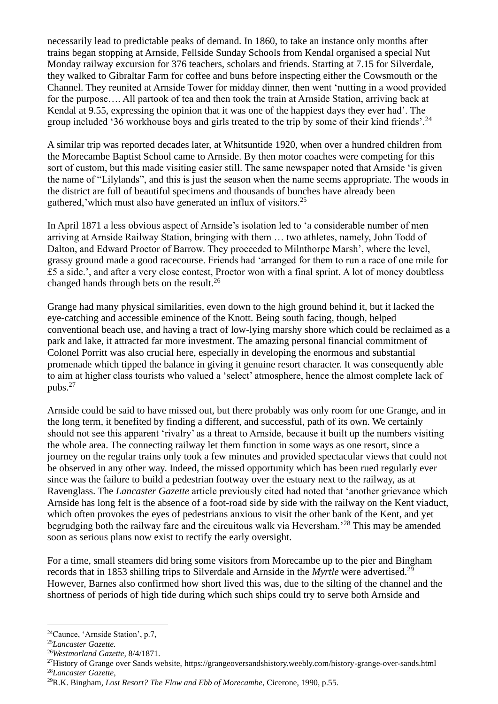necessarily lead to predictable peaks of demand. In 1860, to take an instance only months after trains began stopping at Arnside, Fellside Sunday Schools from Kendal organised a special Nut Monday railway excursion for 376 teachers, scholars and friends. Starting at 7.15 for Silverdale, they walked to Gibraltar Farm for coffee and buns before inspecting either the Cowsmouth or the Channel. They reunited at Arnside Tower for midday dinner, then went 'nutting in a wood provided for the purpose…. All partook of tea and then took the train at Arnside Station, arriving back at Kendal at 9.55, expressing the opinion that it was one of the happiest days they ever had'. The group included '36 workhouse boys and girls treated to the trip by some of their kind friends'.<sup>24</sup>

A similar trip was reported decades later, at Whitsuntide 1920, when over a hundred children from the Morecambe Baptist School came to Arnside. By then motor coaches were competing for this sort of custom, but this made visiting easier still. The same newspaper noted that Arnside 'is given the name of "Lilylands", and this is just the season when the name seems appropriate. The woods in the district are full of beautiful specimens and thousands of bunches have already been gathered,'which must also have generated an influx of visitors.<sup>25</sup>

In April 1871 a less obvious aspect of Arnside's isolation led to 'a considerable number of men arriving at Arnside Railway Station, bringing with them … two athletes, namely, John Todd of Dalton, and Edward Proctor of Barrow. They proceeded to Milnthorpe Marsh', where the level, grassy ground made a good racecourse. Friends had 'arranged for them to run a race of one mile for £5 a side.', and after a very close contest, Proctor won with a final sprint. A lot of money doubtless changed hands through bets on the result.<sup>26</sup>

Grange had many physical similarities, even down to the high ground behind it, but it lacked the eye-catching and accessible eminence of the Knott. Being south facing, though, helped conventional beach use, and having a tract of low-lying marshy shore which could be reclaimed as a park and lake, it attracted far more investment. The amazing personal financial commitment of Colonel Porritt was also crucial here, especially in developing the enormous and substantial promenade which tipped the balance in giving it genuine resort character. It was consequently able to aim at higher class tourists who valued a 'select' atmosphere, hence the almost complete lack of pubs. $27$ 

Arnside could be said to have missed out, but there probably was only room for one Grange, and in the long term, it benefited by finding a different, and successful, path of its own. We certainly should not see this apparent 'rivalry' as a threat to Arnside, because it built up the numbers visiting the whole area. The connecting railway let them function in some ways as one resort, since a journey on the regular trains only took a few minutes and provided spectacular views that could not be observed in any other way. Indeed, the missed opportunity which has been rued regularly ever since was the failure to build a pedestrian footway over the estuary next to the railway, as at Ravenglass. The *Lancaster Gazette* article previously cited had noted that 'another grievance which Arnside has long felt is the absence of a foot-road side by side with the railway on the Kent viaduct, which often provokes the eyes of pedestrians anxious to visit the other bank of the Kent, and yet begrudging both the railway fare and the circuitous walk via Heversham.'<sup>28</sup> This may be amended soon as serious plans now exist to rectify the early oversight.

For a time, small steamers did bring some visitors from Morecambe up to the pier and Bingham records that in 1853 shilling trips to Silverdale and Arnside in the *Myrtle* were advertised.<sup>29</sup> However, Barnes also confirmed how short lived this was, due to the silting of the channel and the shortness of periods of high tide during which such ships could try to serve both Arnside and

<sup>26</sup>*Westmorland Gazette,* 8/4/1871.

<sup>24</sup>Caunce, 'Arnside Station', p.7,

<sup>25</sup>*Lancaster Gazette.*

<sup>&</sup>lt;sup>27</sup>History of Grange over Sands website, https://grangeoversandshistory.weebly.com/history-grange-over-sands.html <sup>28</sup>*Lancaster Gazette,*

<sup>29</sup>R.K. Bingham, *Lost Resort? The Flow and Ebb of Morecambe*, Cicerone, 1990, p.55.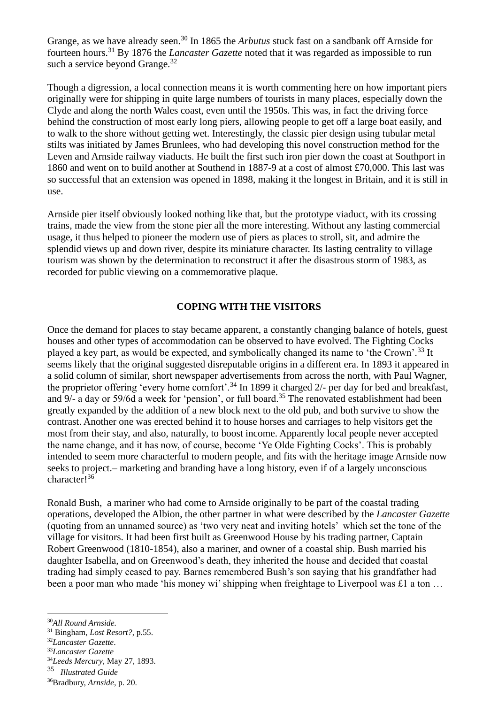Grange, as we have already seen.<sup>30</sup> In 1865 the *Arbutus* stuck fast on a sandbank off Arnside for fourteen hours.<sup>31</sup> By 1876 the *Lancaster Gazette* noted that it was regarded as impossible to run such a service beyond Grange. $32$ 

Though a digression, a local connection means it is worth commenting here on how important piers originally were for shipping in quite large numbers of tourists in many places, especially down the Clyde and along the north Wales coast, even until the 1950s. This was, in fact the driving force behind the construction of most early long piers, allowing people to get off a large boat easily, and to walk to the shore without getting wet. Interestingly, the classic pier design using tubular metal stilts was initiated by James Brunlees, who had developing this novel construction method for the Leven and Arnside railway viaducts. He built the first such iron pier down the coast at Southport in 1860 and went on to build another at Southend in 1887-9 at a cost of almost £70,000. This last was so successful that an extension was opened in 1898, making it the longest in Britain, and it is still in use.

Arnside pier itself obviously looked nothing like that, but the prototype viaduct, with its crossing trains, made the view from the stone pier all the more interesting. Without any lasting commercial usage, it thus helped to pioneer the modern use of piers as places to stroll, sit, and admire the splendid views up and down river, despite its miniature character. Its lasting centrality to village tourism was shown by the determination to reconstruct it after the disastrous storm of 1983, as recorded for public viewing on a commemorative plaque.

### **COPING WITH THE VISITORS**

Once the demand for places to stay became apparent, a constantly changing balance of hotels, guest houses and other types of accommodation can be observed to have evolved. The Fighting Cocks played a key part, as would be expected, and symbolically changed its name to 'the Crown'.<sup>33</sup> It seems likely that the original suggested disreputable origins in a different era. In 1893 it appeared in a solid column of similar, short newspaper advertisements from across the north, with Paul Wagner, the proprietor offering 'every home comfort'.<sup>34</sup> In 1899 it charged 2/- per day for bed and breakfast, and 9/- a day or 59/6d a week for 'pension', or full board.<sup>35</sup> The renovated establishment had been greatly expanded by the addition of a new block next to the old pub, and both survive to show the contrast. Another one was erected behind it to house horses and carriages to help visitors get the most from their stay, and also, naturally, to boost income. Apparently local people never accepted the name change, and it has now, of course, become 'Ye Olde Fighting Cocks'. This is probably intended to seem more characterful to modern people, and fits with the heritage image Arnside now seeks to project.– marketing and branding have a long history, even if of a largely unconscious character!<sup>36</sup>

Ronald Bush, a mariner who had come to Arnside originally to be part of the coastal trading operations, developed the Albion, the other partner in what were described by the *Lancaster Gazette* (quoting from an unnamed source) as 'two very neat and inviting hotels' which set the tone of the village for visitors. It had been first built as Greenwood House by his trading partner, Captain Robert Greenwood (1810-1854), also a mariner, and owner of a coastal ship. Bush married his daughter Isabella, and on Greenwood's death, they inherited the house and decided that coastal trading had simply ceased to pay. Barnes remembered Bush's son saying that his grandfather had been a poor man who made 'his money wi' shipping when freightage to Liverpool was £1 a ton ...

<sup>34</sup>*Leeds Mercury*, May 27, 1893.

<sup>30</sup>*All Round Arnside.*

<sup>31</sup> Bingham, *Lost Resort?*, p.55.

<sup>32</sup>*Lancaster Gazette*.

<sup>33</sup>*Lancaster Gazette*

<sup>35</sup>  *Illustrated Guide*

<sup>36</sup>Bradbury, *Arnside*, p. 20.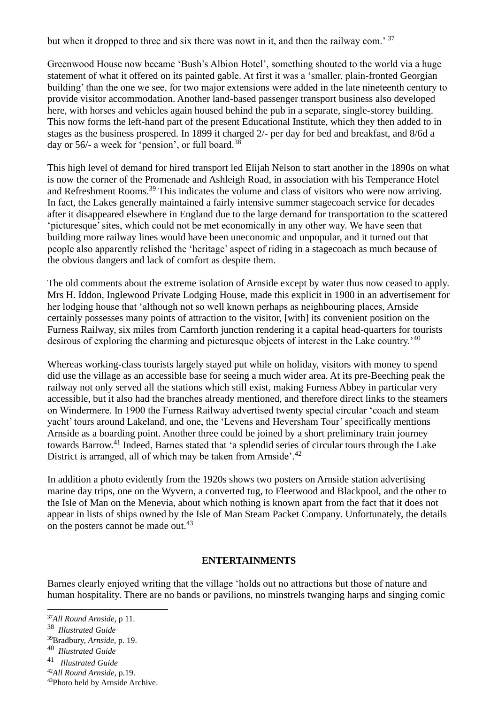but when it dropped to three and six there was nowt in it, and then the railway com.<sup>37</sup>

Greenwood House now became 'Bush's Albion Hotel', something shouted to the world via a huge statement of what it offered on its painted gable. At first it was a 'smaller, plain-fronted Georgian building' than the one we see, for two major extensions were added in the late nineteenth century to provide visitor accommodation. Another land-based passenger transport business also developed here, with horses and vehicles again housed behind the pub in a separate, single-storey building. This now forms the left-hand part of the present Educational Institute, which they then added to in stages as the business prospered. In 1899 it charged 2/- per day for bed and breakfast, and 8/6d a day or 56/- a week for 'pension', or full board.<sup>38</sup>

This high level of demand for hired transport led Elijah Nelson to start another in the 1890s on what is now the corner of the Promenade and Ashleigh Road, in association with his Temperance Hotel and Refreshment Rooms.<sup>39</sup> This indicates the volume and class of visitors who were now arriving. In fact, the Lakes generally maintained a fairly intensive summer stagecoach service for decades after it disappeared elsewhere in England due to the large demand for transportation to the scattered 'picturesque' sites, which could not be met economically in any other way. We have seen that building more railway lines would have been uneconomic and unpopular, and it turned out that people also apparently relished the 'heritage' aspect of riding in a stagecoach as much because of the obvious dangers and lack of comfort as despite them.

The old comments about the extreme isolation of Arnside except by water thus now ceased to apply. Mrs H. Iddon, Inglewood Private Lodging House, made this explicit in 1900 in an advertisement for her lodging house that 'although not so well known perhaps as neighbouring places, Arnside certainly possesses many points of attraction to the visitor, [with] its convenient position on the Furness Railway, six miles from Carnforth junction rendering it a capital head-quarters for tourists desirous of exploring the charming and picturesque objects of interest in the Lake country.<sup>'40</sup>

Whereas working-class tourists largely stayed put while on holiday, visitors with money to spend did use the village as an accessible base for seeing a much wider area. At its pre-Beeching peak the railway not only served all the stations which still exist, making Furness Abbey in particular very accessible, but it also had the branches already mentioned, and therefore direct links to the steamers on Windermere. In 1900 the Furness Railway advertised twenty special circular 'coach and steam yacht' tours around Lakeland, and one, the 'Levens and Heversham Tour' specifically mentions Arnside as a boarding point. Another three could be joined by a short preliminary train journey towards Barrow.<sup>41</sup> Indeed, Barnes stated that 'a splendid series of circular tours through the Lake District is arranged, all of which may be taken from Arnside'.<sup>42</sup>

In addition a photo evidently from the 1920s shows two posters on Arnside station advertising marine day trips, one on the Wyvern, a converted tug, to Fleetwood and Blackpool, and the other to the Isle of Man on the Menevia, about which nothing is known apart from the fact that it does not appear in lists of ships owned by the Isle of Man Steam Packet Company. Unfortunately, the details on the posters cannot be made out.<sup>43</sup>

### **ENTERTAINMENTS**

Barnes clearly enjoyed writing that the village 'holds out no attractions but those of nature and human hospitality. There are no bands or pavilions, no minstrels twanging harps and singing comic

<sup>42</sup>*All Round Arnside*, p.19.

<sup>37</sup>*All Round Arnside,* p 11.

<sup>38</sup>  *Illustrated Guide*

<sup>39</sup>Bradbury, *Arnside*, p. 19.

<sup>40</sup>  *Illustrated Guide*

<sup>41</sup>  *Illustrated Guide*

<sup>43</sup>Photo held by Arnside Archive.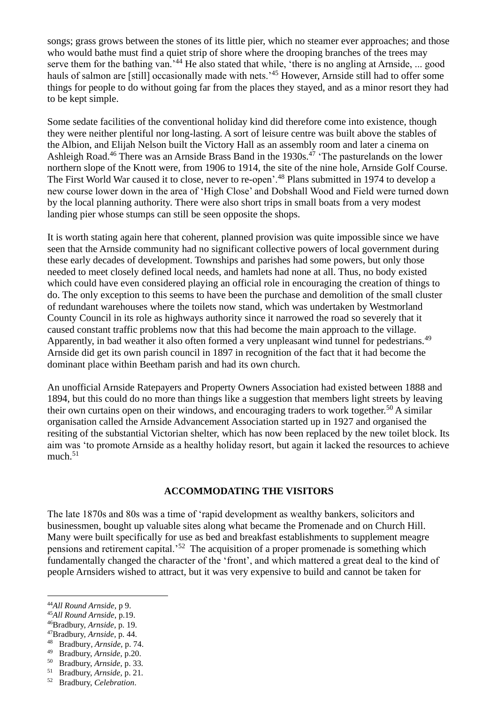songs; grass grows between the stones of its little pier, which no steamer ever approaches; and those who would bathe must find a quiet strip of shore where the drooping branches of the trees may serve them for the bathing van.<sup>'44</sup> He also stated that while, 'there is no angling at Arnside, ... good hauls of salmon are [still] occasionally made with nets.<sup>45</sup> However, Arnside still had to offer some things for people to do without going far from the places they stayed, and as a minor resort they had to be kept simple.

Some sedate facilities of the conventional holiday kind did therefore come into existence, though they were neither plentiful nor long-lasting. A sort of leisure centre was built above the stables of the Albion, and Elijah Nelson built the Victory Hall as an assembly room and later a cinema on Ashleigh Road.<sup>46</sup> There was an Arnside Brass Band in the 1930s.<sup>47</sup> The pasturelands on the lower northern slope of the Knott were, from 1906 to 1914, the site of the nine hole, Arnside Golf Course. The First World War caused it to close, never to re-open'.<sup>48</sup> Plans submitted in 1974 to develop a new course lower down in the area of 'High Close' and Dobshall Wood and Field were turned down by the local planning authority. There were also short trips in small boats from a very modest landing pier whose stumps can still be seen opposite the shops.

It is worth stating again here that coherent, planned provision was quite impossible since we have seen that the Arnside community had no significant collective powers of local government during these early decades of development. Townships and parishes had some powers, but only those needed to meet closely defined local needs, and hamlets had none at all. Thus, no body existed which could have even considered playing an official role in encouraging the creation of things to do. The only exception to this seems to have been the purchase and demolition of the small cluster of redundant warehouses where the toilets now stand, which was undertaken by Westmorland County Council in its role as highways authority since it narrowed the road so severely that it caused constant traffic problems now that this had become the main approach to the village. Apparently, in bad weather it also often formed a very unpleasant wind tunnel for pedestrians.<sup>49</sup> Arnside did get its own parish council in 1897 in recognition of the fact that it had become the dominant place within Beetham parish and had its own church.

An unofficial Arnside Ratepayers and Property Owners Association had existed between 1888 and 1894, but this could do no more than things like a suggestion that members light streets by leaving their own curtains open on their windows, and encouraging traders to work together.<sup>50</sup> A similar organisation called the Arnside Advancement Association started up in 1927 and organised the resiting of the substantial Victorian shelter, which has now been replaced by the new toilet block. Its aim was 'to promote Arnside as a healthy holiday resort, but again it lacked the resources to achieve  $much.<sup>51</sup>$ 

### **ACCOMMODATING THE VISITORS**

The late 1870s and 80s was a time of 'rapid development as wealthy bankers, solicitors and businessmen, bought up valuable sites along what became the Promenade and on Church Hill. Many were built specifically for use as bed and breakfast establishments to supplement meagre pensions and retirement capital.'<sup>52</sup> The acquisition of a proper promenade is something which fundamentally changed the character of the 'front', and which mattered a great deal to the kind of people Arnsiders wished to attract, but it was very expensive to build and cannot be taken for

<sup>44</sup>*All Round Arnside,* p 9.

<sup>45</sup>*All Round Arnside*, p.19.

<sup>46</sup>Bradbury, *Arnside,* p. 19.

<sup>47</sup>Bradbury, *Arnside,* p. 44.

<sup>48</sup> Bradbury*, Arnside,* p. 74.

<sup>49</sup> Bradbury, *Arnside,* p.20.

<sup>50</sup> Bradbury, *Arnside,* p. 33*.*

<sup>51</sup> Bradbury, *Arnside,* p. 21*.*

<sup>52</sup> Bradbury, *Celebration*.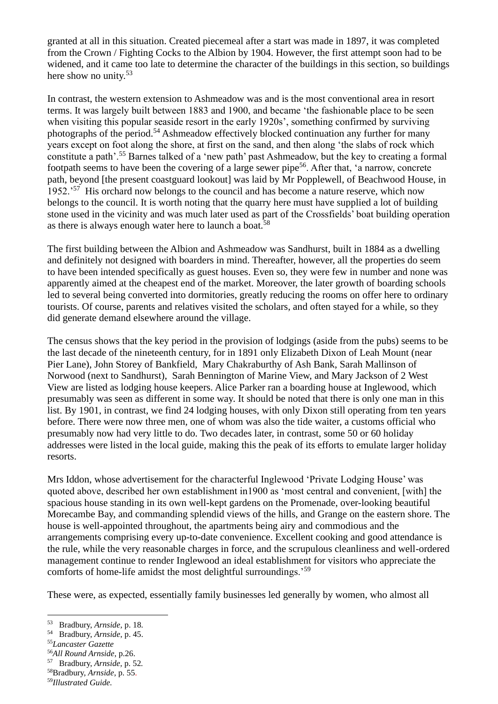granted at all in this situation. Created piecemeal after a start was made in 1897, it was completed from the Crown / Fighting Cocks to the Albion by 1904. However, the first attempt soon had to be widened, and it came too late to determine the character of the buildings in this section, so buildings here show no unity.<sup>53</sup>

In contrast, the western extension to Ashmeadow was and is the most conventional area in resort terms. It was largely built between 1883 and 1900, and became 'the fashionable place to be seen when visiting this popular seaside resort in the early 1920s', something confirmed by surviving photographs of the period.<sup>54</sup> Ashmeadow effectively blocked continuation any further for many years except on foot along the shore, at first on the sand, and then along 'the slabs of rock which constitute a path'.<sup>55</sup> Barnes talked of a 'new path' past Ashmeadow, but the key to creating a formal footpath seems to have been the covering of a large sewer pipe<sup>56</sup>. After that, 'a narrow, concrete path, beyond [the present coastguard lookout] was laid by Mr Popplewell, of Beachwood House, in 1952.<sup>57</sup> His orchard now belongs to the council and has become a nature reserve, which now belongs to the council. It is worth noting that the quarry here must have supplied a lot of building stone used in the vicinity and was much later used as part of the Crossfields' boat building operation as there is always enough water here to launch a boat.<sup>58</sup>

The first building between the Albion and Ashmeadow was Sandhurst, built in 1884 as a dwelling and definitely not designed with boarders in mind. Thereafter, however, all the properties do seem to have been intended specifically as guest houses. Even so, they were few in number and none was apparently aimed at the cheapest end of the market. Moreover, the later growth of boarding schools led to several being converted into dormitories, greatly reducing the rooms on offer here to ordinary tourists. Of course, parents and relatives visited the scholars, and often stayed for a while, so they did generate demand elsewhere around the village.

The census shows that the key period in the provision of lodgings (aside from the pubs) seems to be the last decade of the nineteenth century, for in 1891 only Elizabeth Dixon of Leah Mount (near Pier Lane), John Storey of Bankfield, Mary Chakraburthy of Ash Bank, Sarah Mallinson of Norwood (next to Sandhurst), Sarah Bennington of Marine View, and Mary Jackson of 2 West View are listed as lodging house keepers. Alice Parker ran a boarding house at Inglewood, which presumably was seen as different in some way. It should be noted that there is only one man in this list. By 1901, in contrast, we find 24 lodging houses, with only Dixon still operating from ten years before. There were now three men, one of whom was also the tide waiter, a customs official who presumably now had very little to do. Two decades later, in contrast, some 50 or 60 holiday addresses were listed in the local guide, making this the peak of its efforts to emulate larger holiday resorts.

Mrs Iddon, whose advertisement for the characterful Inglewood 'Private Lodging House' was quoted above, described her own establishment in1900 as 'most central and convenient, [with] the spacious house standing in its own well-kept gardens on the Promenade, over-looking beautiful Morecambe Bay, and commanding splendid views of the hills, and Grange on the eastern shore. The house is well-appointed throughout, the apartments being airy and commodious and the arrangements comprising every up-to-date convenience. Excellent cooking and good attendance is the rule, while the very reasonable charges in force, and the scrupulous cleanliness and well-ordered management continue to render Inglewood an ideal establishment for visitors who appreciate the comforts of home-life amidst the most delightful surroundings.'<sup>59</sup>

These were, as expected, essentially family businesses led generally by women, who almost all

<sup>53</sup> Bradbury, *Arnside,* p. 18*.*

<sup>54</sup> Bradbury, *Arnside*, p. 45.

<sup>55</sup>*Lancaster Gazette*

<sup>56</sup>*All Round Arnside*, p.26.

<sup>57</sup> Bradbury, *Arnside,* p. 52*.*

<sup>58</sup>Bradbury, *Arnside,* p. 55.

<sup>59</sup>*Illustrated Guide.*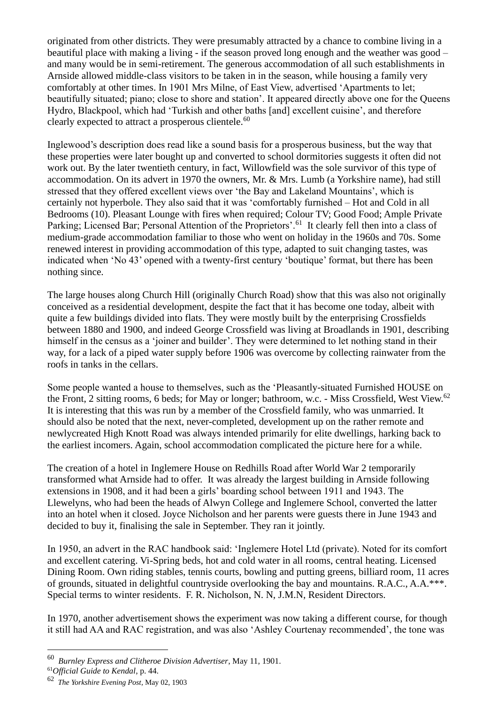originated from other districts. They were presumably attracted by a chance to combine living in a beautiful place with making a living - if the season proved long enough and the weather was good – and many would be in semi-retirement. The generous accommodation of all such establishments in Arnside allowed middle-class visitors to be taken in in the season, while housing a family very comfortably at other times. In 1901 Mrs Milne, of East View, advertised 'Apartments to let; beautifully situated; piano; close to shore and station'. It appeared directly above one for the Queens Hydro, Blackpool, which had 'Turkish and other baths [and] excellent cuisine', and therefore clearly expected to attract a prosperous clientele. $60$ 

Inglewood's description does read like a sound basis for a prosperous business, but the way that these properties were later bought up and converted to school dormitories suggests it often did not work out. By the later twentieth century, in fact, Willowfield was the sole survivor of this type of accommodation. On its advert in 1970 the owners, Mr. & Mrs. Lumb (a Yorkshire name), had still stressed that they offered excellent views over 'the Bay and Lakeland Mountains', which is certainly not hyperbole. They also said that it was 'comfortably furnished – Hot and Cold in all Bedrooms (10). Pleasant Lounge with fires when required; Colour TV; Good Food; Ample Private Parking; Licensed Bar; Personal Attention of the Proprietors'.<sup>61</sup> It clearly fell then into a class of medium-grade accommodation familiar to those who went on holiday in the 1960s and 70s. Some renewed interest in providing accommodation of this type, adapted to suit changing tastes, was indicated when 'No 43' opened with a twenty-first century 'boutique' format, but there has been nothing since.

The large houses along Church Hill (originally Church Road) show that this was also not originally conceived as a residential development, despite the fact that it has become one today, albeit with quite a few buildings divided into flats. They were mostly built by the enterprising Crossfields between 1880 and 1900, and indeed George Crossfield was living at Broadlands in 1901, describing himself in the census as a 'joiner and builder'. They were determined to let nothing stand in their way, for a lack of a piped water supply before 1906 was overcome by collecting rainwater from the roofs in tanks in the cellars.

Some people wanted a house to themselves, such as the 'Pleasantly-situated Furnished HOUSE on the Front, 2 sitting rooms, 6 beds; for May or longer; bathroom, w.c. - Miss Crossfield, West View.<sup>62</sup> It is interesting that this was run by a member of the Crossfield family, who was unmarried. It should also be noted that the next, never-completed, development up on the rather remote and newlycreated High Knott Road was always intended primarily for elite dwellings, harking back to the earliest incomers. Again, school accommodation complicated the picture here for a while.

The creation of a hotel in Inglemere House on Redhills Road after World War 2 temporarily transformed what Arnside had to offer. It was already the largest building in Arnside following extensions in 1908, and it had been a girls' boarding school between 1911 and 1943. The Llewelyns, who had been the heads of Alwyn College and Inglemere School, converted the latter into an hotel when it closed. Joyce Nicholson and her parents were guests there in June 1943 and decided to buy it, finalising the sale in September. They ran it jointly.

In 1950, an advert in the RAC handbook said: 'Inglemere Hotel Ltd (private). Noted for its comfort and excellent catering. Vi-Spring beds, hot and cold water in all rooms, central heating. Licensed Dining Room. Own riding stables, tennis courts, bowling and putting greens, billiard room, 11 acres of grounds, situated in delightful countryside overlooking the bay and mountains. R.A.C., A.A.\*\*\*. Special terms to winter residents. F. R. Nicholson, N. N, J.M.N, Resident Directors.

In 1970, another advertisement shows the experiment was now taking a different course, for though it still had AA and RAC registration, and was also 'Ashley Courtenay recommended', the tone was

<sup>60</sup>  *Burnley Express and Clitheroe Division Advertiser*, May 11, 1901.

<sup>61</sup>*Official Guide to Kendal*, p. 44.

<sup>62</sup>  *The Yorkshire Evening Post*, May 02, 1903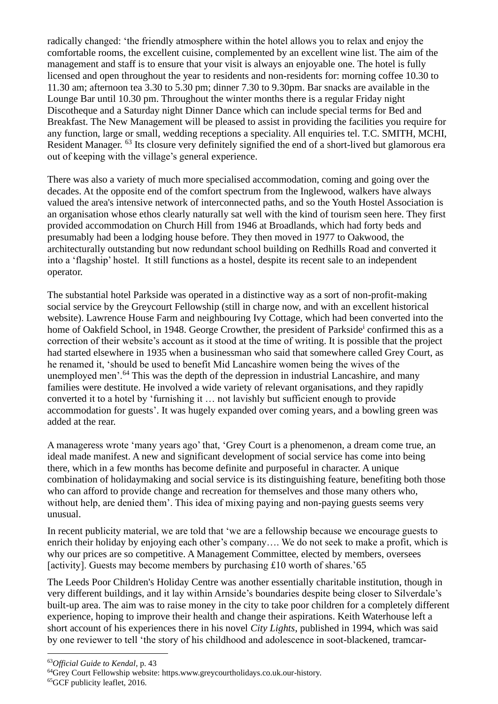radically changed: 'the friendly atmosphere within the hotel allows you to relax and enjoy the comfortable rooms, the excellent cuisine, complemented by an excellent wine list. The aim of the management and staff is to ensure that your visit is always an enjoyable one. The hotel is fully licensed and open throughout the year to residents and non-residents for: morning coffee 10.30 to 11.30 am; afternoon tea 3.30 to 5.30 pm; dinner 7.30 to 9.30pm. Bar snacks are available in the Lounge Bar until 10.30 pm. Throughout the winter months there is a regular Friday night Discotheque and a Saturday night Dinner Dance which can include special terms for Bed and Breakfast. The New Management will be pleased to assist in providing the facilities you require for any function, large or small, wedding receptions a speciality. All enquiries tel. T.C. SMITH, MCHI, Resident Manager. <sup>63</sup> Its closure very definitely signified the end of a short-lived but glamorous era out of keeping with the village's general experience.

There was also a variety of much more specialised accommodation, coming and going over the decades. At the opposite end of the comfort spectrum from the Inglewood, walkers have always valued the area's intensive network of interconnected paths, and so the Youth Hostel Association is an organisation whose ethos clearly naturally sat well with the kind of tourism seen here. They first provided accommodation on Church Hill from 1946 at Broadlands, which had forty beds and presumably had been a lodging house before. They then moved in 1977 to Oakwood, the architecturally outstanding but now redundant school building on Redhills Road and converted it into a 'flagship' hostel. It still functions as a hostel, despite its recent sale to an independent operator.

The substantial hotel Parkside was operated in a distinctive way as a sort of non-profit-making social service by the Greycourt Fellowship (still in charge now, and with an excellent historical website). Lawrence House Farm and neighbouring Ivy Cottage, which had been converted into the home of Oakfield School, in 1948. George Crowther, the president of Parkside<sup>i</sup> confirmed this as a correction of their website's account as it stood at the time of writing. It is possible that the project had started elsewhere in 1935 when a businessman who said that somewhere called Grey Court, as he renamed it, 'should be used to benefit Mid Lancashire women being the wives of the unemployed men'.<sup>64</sup> This was the depth of the depression in industrial Lancashire, and many families were destitute. He involved a wide variety of relevant organisations, and they rapidly converted it to a hotel by 'furnishing it … not lavishly but sufficient enough to provide accommodation for guests'. It was hugely expanded over coming years, and a bowling green was added at the rear.

A manageress wrote 'many years ago' that, 'Grey Court is a phenomenon, a dream come true, an ideal made manifest. A new and significant development of social service has come into being there, which in a few months has become definite and purposeful in character. A unique combination of holidaymaking and social service is its distinguishing feature, benefiting both those who can afford to provide change and recreation for themselves and those many others who, without help, are denied them'. This idea of mixing paying and non-paying guests seems very unusual.

In recent publicity material, we are told that 'we are a fellowship because we encourage guests to enrich their holiday by enjoying each other's company…. We do not seek to make a profit, which is why our prices are so competitive. A Management Committee, elected by members, oversees [activity]. Guests may become members by purchasing  $\text{\pounds}10$  worth of shares.'65

The Leeds Poor Children's Holiday Centre was another essentially charitable institution, though in very different buildings, and it lay within Arnside's boundaries despite being closer to Silverdale's built-up area. The aim was to raise money in the city to take poor children for a completely different experience, hoping to improve their health and change their aspirations. Keith Waterhouse left a short account of his experiences there in his novel *City Lights*, published in 1994, which was said by one reviewer to tell 'the story of his childhood and adolescence in soot-blackened, tramcar-

<sup>63</sup>*Official Guide to Kendal*, p. 43

<sup>64</sup>Grey Court Fellowship website: https.www.greycourtholidays.co.uk.our-history.

<sup>65</sup>GCF publicity leaflet, 2016.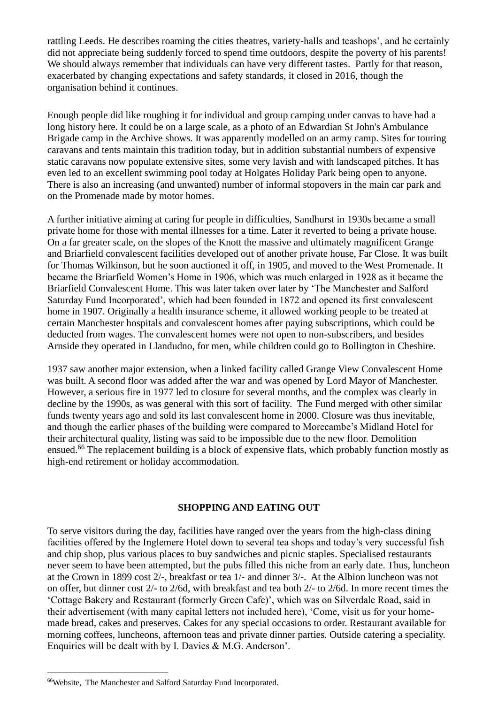rattling Leeds. He describes roaming the cities theatres, variety-halls and teashops', and he certainly did not appreciate being suddenly forced to spend time outdoors, despite the poverty of his parents! We should always remember that individuals can have very different tastes. Partly for that reason, exacerbated by changing expectations and safety standards, it closed in 2016, though the organisation behind it continues.

Enough people did like roughing it for individual and group camping under canvas to have had a long history here. It could be on a large scale, as a photo of an Edwardian St John's Ambulance Brigade camp in the Archive shows. It was apparently modelled on an army camp. Sites for touring caravans and tents maintain this tradition today, but in addition substantial numbers of expensive static caravans now populate extensive sites, some very lavish and with landscaped pitches. It has even led to an excellent swimming pool today at Holgates Holiday Park being open to anyone. There is also an increasing (and unwanted) number of informal stopovers in the main car park and on the Promenade made by motor homes.

A further initiative aiming at caring for people in difficulties, Sandhurst in 1930s became a small private home for those with mental illnesses for a time. Later it reverted to being a private house. On a far greater scale, on the slopes of the Knott the massive and ultimately magnificent Grange and Briarfield convalescent facilities developed out of another private house, Far Close. It was built for Thomas Wilkinson, but he soon auctioned it off, in 1905, and moved to the West Promenade. It became the Briarfield Women's Home in 1906, which was much enlarged in 1928 as it became the Briarfield Convalescent Home. This was later taken over later by 'The Manchester and Salford Saturday Fund Incorporated', which had been founded in 1872 and opened its first convalescent home in 1907. Originally a health insurance scheme, it allowed working people to be treated at certain Manchester hospitals and convalescent homes after paying subscriptions, which could be deducted from wages. The convalescent homes were not open to non-subscribers, and besides Arnside they operated in Llandudno, for men, while children could go to Bollington in Cheshire.

1937 saw another major extension, when a linked facility called Grange View Convalescent Home was built. A second floor was added after the war and was opened by Lord Mayor of Manchester. However, a serious fire in 1977 led to closure for several months, and the complex was clearly in decline by the 1990s, as was general with this sort of facility. The Fund merged with other similar funds twenty years ago and sold its last convalescent home in 2000. Closure was thus inevitable, and though the earlier phases of the building were compared to Morecambe's Midland Hotel for their architectural quality, listing was said to be impossible due to the new floor. Demolition ensued.<sup>66</sup> The replacement building is a block of expensive flats, which probably function mostly as high-end retirement or holiday accommodation.

### **SHOPPING AND EATING OUT**

To serve visitors during the day, facilities have ranged over the years from the high-class dining facilities offered by the Inglemere Hotel down to several tea shops and today's very successful fish and chip shop, plus various places to buy sandwiches and picnic staples. Specialised restaurants never seem to have been attempted, but the pubs filled this niche from an early date. Thus, luncheon at the Crown in 1899 cost 2/-, breakfast or tea 1/- and dinner 3/-. At the Albion luncheon was not on offer, but dinner cost 2/- to 2/6d, with breakfast and tea both 2/- to 2/6d. In more recent times the 'Cottage Bakery and Restaurant (formerly Green Cafe)', which was on Silverdale Road, said in their advertisement (with many capital letters not included here), 'Come, visit us for your homemade bread, cakes and preserves. Cakes for any special occasions to order. Restaurant available for morning coffees, luncheons, afternoon teas and private dinner parties. Outside catering a speciality. Enquiries will be dealt with by I. Davies & M.G. Anderson'.

<sup>66</sup>Website, The Manchester and Salford Saturday Fund Incorporated.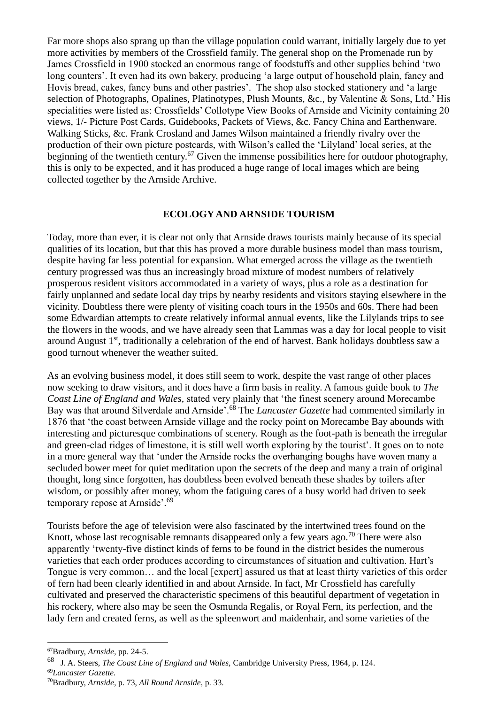Far more shops also sprang up than the village population could warrant, initially largely due to yet more activities by members of the Crossfield family. The general shop on the Promenade run by James Crossfield in 1900 stocked an enormous range of foodstuffs and other supplies behind 'two long counters'. It even had its own bakery, producing 'a large output of household plain, fancy and Hovis bread, cakes, fancy buns and other pastries'. The shop also stocked stationery and 'a large selection of Photographs, Opalines, Platinotypes, Plush Mounts, &c., by Valentine & Sons, Ltd.' His specialities were listed as: Crossfields' Collotype View Books of Arnside and Vicinity containing 20 views, 1/- Picture Post Cards, Guidebooks, Packets of Views, &c. Fancy China and Earthenware. Walking Sticks, &c. Frank Crosland and James Wilson maintained a friendly rivalry over the production of their own picture postcards, with Wilson's called the 'Lilyland' local series, at the beginning of the twentieth century.<sup>67</sup> Given the immense possibilities here for outdoor photography, this is only to be expected, and it has produced a huge range of local images which are being collected together by the Arnside Archive.

#### **ECOLOGY AND ARNSIDE TOURISM**

Today, more than ever, it is clear not only that Arnside draws tourists mainly because of its special qualities of its location, but that this has proved a more durable business model than mass tourism, despite having far less potential for expansion. What emerged across the village as the twentieth century progressed was thus an increasingly broad mixture of modest numbers of relatively prosperous resident visitors accommodated in a variety of ways, plus a role as a destination for fairly unplanned and sedate local day trips by nearby residents and visitors staying elsewhere in the vicinity. Doubtless there were plenty of visiting coach tours in the 1950s and 60s. There had been some Edwardian attempts to create relatively informal annual events, like the Lilylands trips to see the flowers in the woods, and we have already seen that Lammas was a day for local people to visit around August 1<sup>st</sup>, traditionally a celebration of the end of harvest. Bank holidays doubtless saw a good turnout whenever the weather suited.

As an evolving business model, it does still seem to work, despite the vast range of other places now seeking to draw visitors, and it does have a firm basis in reality. A famous guide book to *The Coast Line of England and Wales,* stated very plainly that 'the finest scenery around Morecambe Bay was that around Silverdale and Arnside'.<sup>68</sup> The *Lancaster Gazette* had commented similarly in 1876 that 'the coast between Arnside village and the rocky point on Morecambe Bay abounds with interesting and picturesque combinations of scenery. Rough as the foot-path is beneath the irregular and green-clad ridges of limestone, it is still well worth exploring by the tourist'. It goes on to note in a more general way that 'under the Arnside rocks the overhanging boughs have woven many a secluded bower meet for quiet meditation upon the secrets of the deep and many a train of original thought, long since forgotten, has doubtless been evolved beneath these shades by toilers after wisdom, or possibly after money, whom the fatiguing cares of a busy world had driven to seek temporary repose at Arnside'.<sup>69</sup>

Tourists before the age of television were also fascinated by the intertwined trees found on the Knott, whose last recognisable remnants disappeared only a few years ago.<sup>70</sup> There were also apparently 'twenty-five distinct kinds of ferns to be found in the district besides the numerous varieties that each order produces according to circumstances of situation and cultivation. Hart's Tongue is very common… and the local [expert] assured us that at least thirty varieties of this order of fern had been clearly identified in and about Arnside. In fact, Mr Crossfield has carefully cultivated and preserved the characteristic specimens of this beautiful department of vegetation in his rockery, where also may be seen the Osmunda Regalis, or Royal Fern, its perfection, and the lady fern and created ferns, as well as the spleenwort and maidenhair, and some varieties of the

<sup>67</sup>Bradbury, *Arnside,* pp. 24-5.

<sup>68</sup> J. A. Steers, *The Coast Line of England and Wales,* Cambridge University Press, 1964, p. 124.

<sup>69</sup>*Lancaster Gazette.*

<sup>70</sup>Bradbury, *Arnside,* p. 73, *All Round Arnside*, p. 33.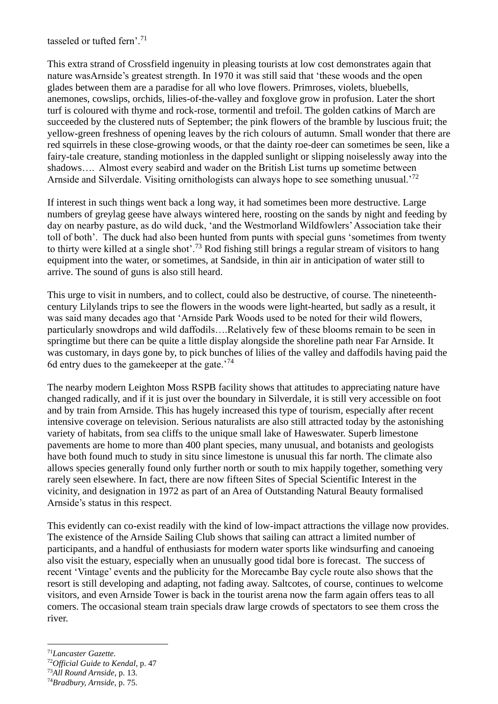tasseled or tufted fern'.<sup>71</sup>

This extra strand of Crossfield ingenuity in pleasing tourists at low cost demonstrates again that nature wasArnside's greatest strength. In 1970 it was still said that 'these woods and the open glades between them are a paradise for all who love flowers. Primroses, violets, bluebells, anemones, cowslips, orchids, lilies-of-the-valley and foxglove grow in profusion. Later the short turf is coloured with thyme and rock-rose, tormentil and trefoil. The golden catkins of March are succeeded by the clustered nuts of September; the pink flowers of the bramble by luscious fruit; the yellow-green freshness of opening leaves by the rich colours of autumn. Small wonder that there are red squirrels in these close-growing woods, or that the dainty roe-deer can sometimes be seen, like a fairy-tale creature, standing motionless in the dappled sunlight or slipping noiselessly away into the shadows…. Almost every seabird and wader on the British List turns up sometime between Arnside and Silverdale. Visiting ornithologists can always hope to see something unusual.<sup>72</sup>

If interest in such things went back a long way, it had sometimes been more destructive. Large numbers of greylag geese have always wintered here, roosting on the sands by night and feeding by day on nearby pasture, as do wild duck, 'and the Westmorland Wildfowlers' Association take their toll of both'. The duck had also been hunted from punts with special guns 'sometimes from twenty to thirty were killed at a single shot'.<sup>73</sup> Rod fishing still brings a regular stream of visitors to hang equipment into the water, or sometimes, at Sandside, in thin air in anticipation of water still to arrive. The sound of guns is also still heard.

This urge to visit in numbers, and to collect, could also be destructive, of course. The nineteenthcentury Lilylands trips to see the flowers in the woods were light-hearted, but sadly as a result, it was said many decades ago that 'Arnside Park Woods used to be noted for their wild flowers, particularly snowdrops and wild daffodils….Relatively few of these blooms remain to be seen in springtime but there can be quite a little display alongside the shoreline path near Far Arnside. It was customary, in days gone by, to pick bunches of lilies of the valley and daffodils having paid the 6d entry dues to the gamekeeper at the gate.<sup> $74$ </sup>

The nearby modern Leighton Moss RSPB facility shows that attitudes to appreciating nature have changed radically, and if it is just over the boundary in Silverdale, it is still very accessible on foot and by train from Arnside. This has hugely increased this type of tourism, especially after recent intensive coverage on television. Serious naturalists are also still attracted today by the astonishing variety of habitats, from sea cliffs to the unique small lake of Haweswater. Superb limestone pavements are home to more than 400 plant species, many unusual, and botanists and geologists have both found much to study in situ since limestone is unusual this far north. The climate also allows species generally found only further north or south to mix happily together, something very rarely seen elsewhere. In fact, there are now fifteen Sites of Special Scientific Interest in the vicinity, and designation in 1972 as part of an Area of Outstanding Natural Beauty formalised Arnside's status in this respect.

This evidently can co-exist readily with the kind of low-impact attractions the village now provides. The existence of the Arnside Sailing Club shows that sailing can attract a limited number of participants, and a handful of enthusiasts for modern water sports like windsurfing and canoeing also visit the estuary, especially when an unusually good tidal bore is forecast. The success of recent 'Vintage' events and the publicity for the Morecambe Bay cycle route also shows that the resort is still developing and adapting, not fading away. Saltcotes, of course, continues to welcome visitors, and even Arnside Tower is back in the tourist arena now the farm again offers teas to all comers. The occasional steam train specials draw large crowds of spectators to see them cross the river.

<sup>71</sup>*Lancaster Gazette.*

<sup>72</sup>*Official Guide to Kendal*, p. 47

<sup>73</sup>*All Round Arnside*, p. 13.

<sup>74</sup>*Bradbury, Arnside,* p. 75.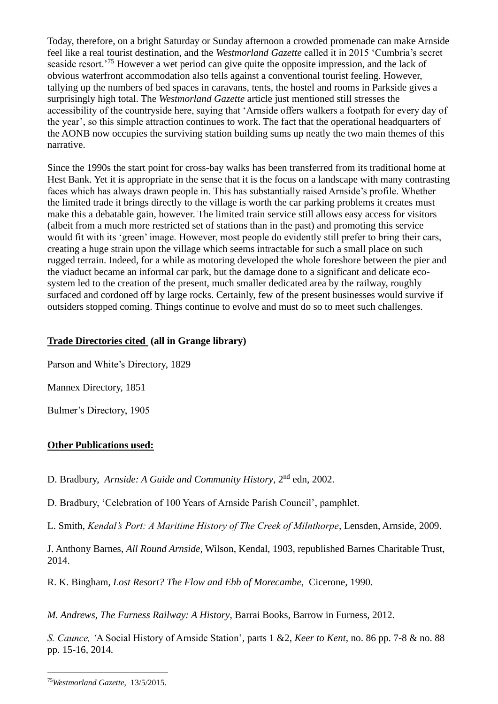Today, therefore, on a bright Saturday or Sunday afternoon a crowded promenade can make Arnside feel like a real tourist destination, and the *Westmorland Gazette* called it in 2015 'Cumbria's secret seaside resort.'<sup>75</sup> However a wet period can give quite the opposite impression, and the lack of obvious waterfront accommodation also tells against a conventional tourist feeling. However, tallying up the numbers of bed spaces in caravans, tents, the hostel and rooms in Parkside gives a surprisingly high total. The *Westmorland Gazette* article just mentioned still stresses the accessibility of the countryside here, saying that 'Arnside offers walkers a footpath for every day of the year', so this simple attraction continues to work. The fact that the operational headquarters of the AONB now occupies the surviving station building sums up neatly the two main themes of this narrative.

Since the 1990s the start point for cross-bay walks has been transferred from its traditional home at Hest Bank. Yet it is appropriate in the sense that it is the focus on a landscape with many contrasting faces which has always drawn people in. This has substantially raised Arnside's profile. Whether the limited trade it brings directly to the village is worth the car parking problems it creates must make this a debatable gain, however. The limited train service still allows easy access for visitors (albeit from a much more restricted set of stations than in the past) and promoting this service would fit with its 'green' image. However, most people do evidently still prefer to bring their cars, creating a huge strain upon the village which seems intractable for such a small place on such rugged terrain. Indeed, for a while as motoring developed the whole foreshore between the pier and the viaduct became an informal car park, but the damage done to a significant and delicate ecosystem led to the creation of the present, much smaller dedicated area by the railway, roughly surfaced and cordoned off by large rocks. Certainly, few of the present businesses would survive if outsiders stopped coming. Things continue to evolve and must do so to meet such challenges.

# **Trade Directories cited (all in Grange library)**

Parson and White's Directory, 1829

Mannex Directory, 1851

Bulmer's Directory, 1905

# **Other Publications used:**

D. Bradbury, *Arnside: A Guide and Community History*, 2nd edn, 2002.

D. Bradbury, 'Celebration of 100 Years of Arnside Parish Council', pamphlet.

L. Smith, *Kendal's Port: A Maritime History of The Creek of Milnthorpe*, Lensden, Arnside, 2009.

J. Anthony Barnes, *All Round Arnside,* Wilson, Kendal, 1903, republished Barnes Charitable Trust, 2014.

R. K. Bingham*, Lost Resort? The Flow and Ebb of Morecambe*, Cicerone, 1990.

*M. Andrews, The Furness Railway: A History*, Barrai Books, Barrow in Furness, 2012.

*S. Caunce, '*A Social History of Arnside Station'*,* parts 1 &2*, Keer to Kent*, no. 86 pp. 7-8 & no. 88 pp. 15-16*,* 2014*.*

<sup>75</sup>*Westmorland Gazette*, 13/5/2015.